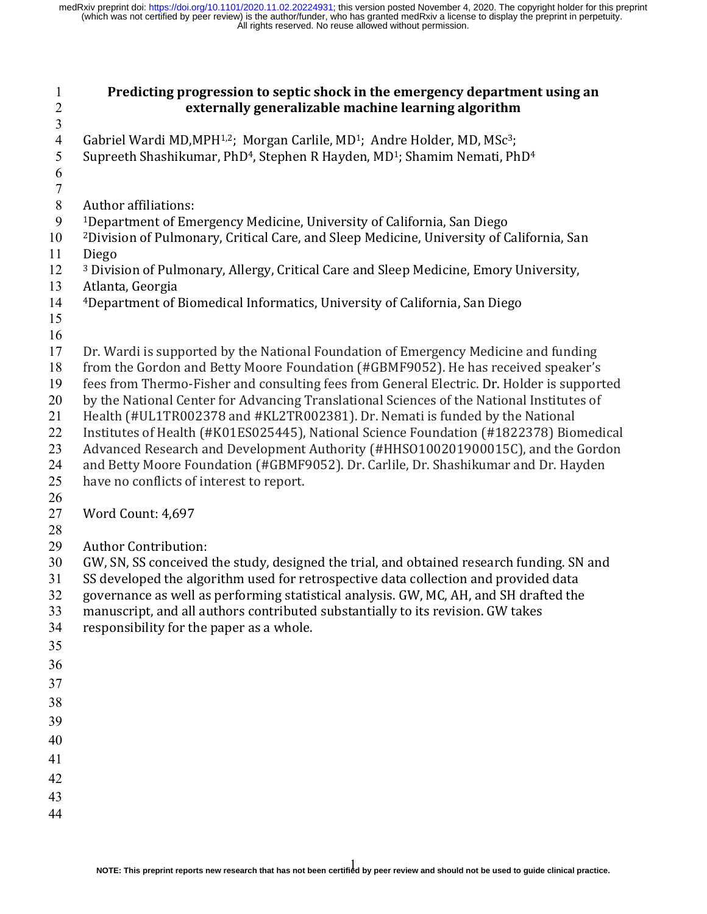| $\mathbf{1}$<br>$\overline{c}$ | Predicting progression to septic shock in the emergency department using an<br>externally generalizable machine learning algorithm                                                      |
|--------------------------------|-----------------------------------------------------------------------------------------------------------------------------------------------------------------------------------------|
| $\overline{3}$                 |                                                                                                                                                                                         |
| $\overline{4}$                 | Gabriel Wardi MD, MPH <sup>1,2</sup> ; Morgan Carlile, MD <sup>1</sup> ; Andre Holder, MD, MSc <sup>3</sup> ;                                                                           |
| 5                              | Supreeth Shashikumar, PhD <sup>4</sup> , Stephen R Hayden, MD <sup>1</sup> ; Shamim Nemati, PhD <sup>4</sup>                                                                            |
| 6                              |                                                                                                                                                                                         |
| $\tau$                         |                                                                                                                                                                                         |
| $\,8\,$                        | <b>Author affiliations:</b>                                                                                                                                                             |
| 9                              | <sup>1</sup> Department of Emergency Medicine, University of California, San Diego                                                                                                      |
| 10                             | <sup>2</sup> Division of Pulmonary, Critical Care, and Sleep Medicine, University of California, San                                                                                    |
| 11                             | Diego                                                                                                                                                                                   |
| 12                             | <sup>3</sup> Division of Pulmonary, Allergy, Critical Care and Sleep Medicine, Emory University,                                                                                        |
| 13                             | Atlanta, Georgia                                                                                                                                                                        |
| 14                             | <sup>4</sup> Department of Biomedical Informatics, University of California, San Diego                                                                                                  |
| 15                             |                                                                                                                                                                                         |
| 16                             |                                                                                                                                                                                         |
| 17                             | Dr. Wardi is supported by the National Foundation of Emergency Medicine and funding                                                                                                     |
| 18                             | from the Gordon and Betty Moore Foundation (#GBMF9052). He has received speaker's                                                                                                       |
| 19<br>20                       | fees from Thermo-Fisher and consulting fees from General Electric. Dr. Holder is supported<br>by the National Center for Advancing Translational Sciences of the National Institutes of |
| 21                             | Health (#UL1TR002378 and #KL2TR002381). Dr. Nemati is funded by the National                                                                                                            |
| 22                             | Institutes of Health (#K01ES025445), National Science Foundation (#1822378) Biomedical                                                                                                  |
| 23                             | Advanced Research and Development Authority (#HHSO100201900015C), and the Gordon                                                                                                        |
| 24                             | and Betty Moore Foundation (#GBMF9052). Dr. Carlile, Dr. Shashikumar and Dr. Hayden                                                                                                     |
| 25                             | have no conflicts of interest to report.                                                                                                                                                |
| 26                             |                                                                                                                                                                                         |
| 27                             | Word Count: 4,697                                                                                                                                                                       |
| 28                             |                                                                                                                                                                                         |
| 29                             | <b>Author Contribution:</b>                                                                                                                                                             |
| 30                             | GW, SN, SS conceived the study, designed the trial, and obtained research funding. SN and                                                                                               |
| 31                             | SS developed the algorithm used for retrospective data collection and provided data                                                                                                     |
| 32                             | governance as well as performing statistical analysis. GW, MC, AH, and SH drafted the                                                                                                   |
| 33                             | manuscript, and all authors contributed substantially to its revision. GW takes                                                                                                         |
| 34                             | responsibility for the paper as a whole.                                                                                                                                                |
| 35                             |                                                                                                                                                                                         |
| 36                             |                                                                                                                                                                                         |
| 37                             |                                                                                                                                                                                         |
| 38                             |                                                                                                                                                                                         |
| 39                             |                                                                                                                                                                                         |
| 40                             |                                                                                                                                                                                         |
| 41                             |                                                                                                                                                                                         |
| 42                             |                                                                                                                                                                                         |
| 43                             |                                                                                                                                                                                         |
| 44                             |                                                                                                                                                                                         |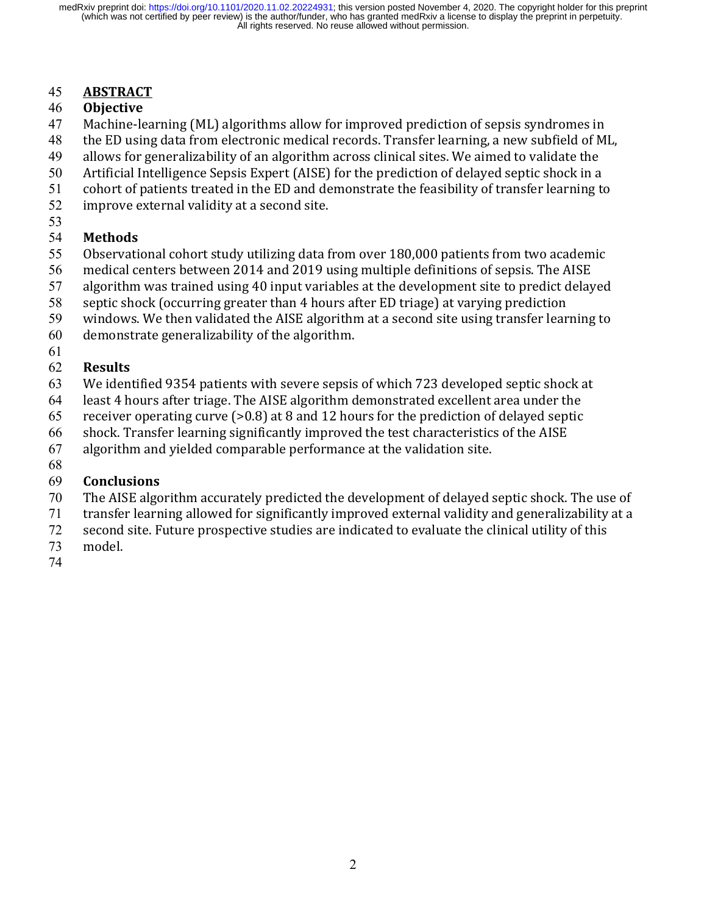# 45 **ABSTRACT**

## 46 **Objective**

- 47 Machine-learning (ML) algorithms allow for improved prediction of sepsis syndromes in
- 48 the ED using data from electronic medical records. Transfer learning, a new subfield of ML,
- 49 allows for generalizability of an algorithm across clinical sites. We aimed to validate the
- 50 Artificial Intelligence Sepsis Expert (AISE) for the prediction of delayed septic shock in a
- 51 cohort of patients treated in the ED and demonstrate the feasibility of transfer learning to
- 52 improve external validity at a second site.
- 53

# 54 **Methods**

- 55 Observational cohort study utilizing data from over 180,000 patients from two academic
- 56 medical centers between 2014 and 2019 using multiple definitions of sepsis. The AISE
- $57$  algorithm was trained using 40 input variables at the development site to predict delayed
- 58 septic shock (occurring greater than 4 hours after ED triage) at varying prediction
- 59 windows. We then validated the AISE algorithm at a second site using transfer learning to
- 60 demonstrate generalizability of the algorithm.
- 61

# 62 **Results**

- 63 We identified 9354 patients with severe sepsis of which 723 developed septic shock at
- 64 least 4 hours after triage. The AISE algorithm demonstrated excellent area under the
- 65 receiver operating curve  $(>0.8)$  at 8 and 12 hours for the prediction of delayed septic
- 66 shock. Transfer learning significantly improved the test characteristics of the AISE
- $67$  algorithm and yielded comparable performance at the validation site.
- 68

# 69 **Conclusions**

- 70 The AISE algorithm accurately predicted the development of delayed septic shock. The use of
- 71 transfer learning allowed for significantly improved external validity and generalizability at a
- 72 second site. Future prospective studies are indicated to evaluate the clinical utility of this
- 73 model.
- 74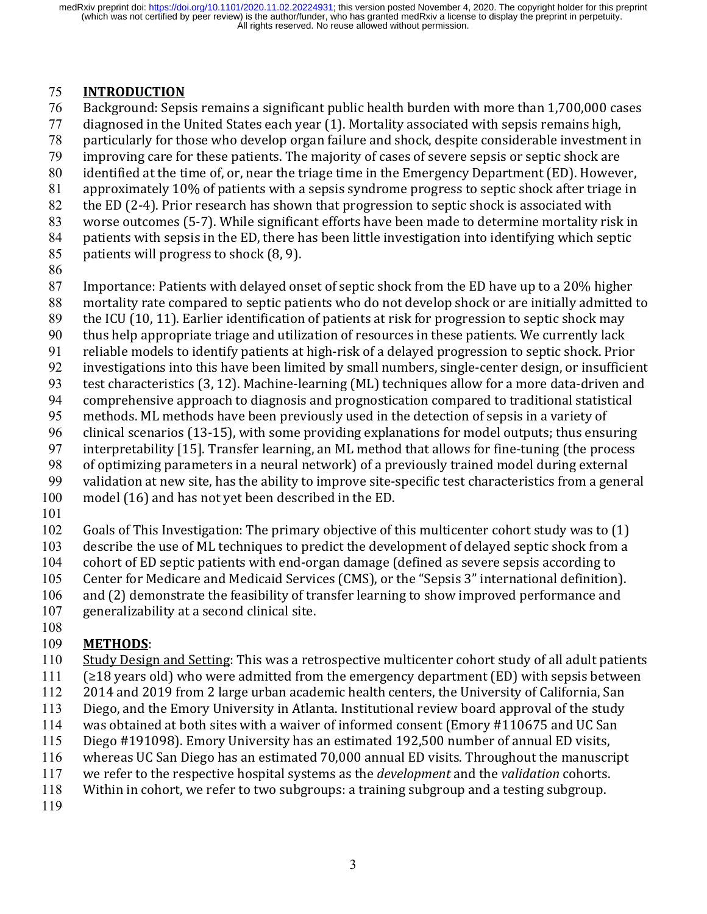## 75 **INTRODUCTION**

- 76 Background: Sepsis remains a significant public health burden with more than 1,700,000 cases
- $77$  diagnosed in the United States each year  $(1)$ . Mortality associated with sepsis remains high,
- 78 particularly for those who develop organ failure and shock, despite considerable investment in
- 79 improving care for these patients. The majority of cases of severe sepsis or septic shock are
- 80 identified at the time of, or, near the triage time in the Emergency Department (ED). However,
- 81 approximately 10% of patients with a sepsis syndrome progress to septic shock after triage in
- 82 the ED (2-4). Prior research has shown that progression to septic shock is associated with
- 83 worse outcomes (5-7). While significant efforts have been made to determine mortality risk in
- 84 patients with sepsis in the ED, there has been little investigation into identifying which septic
- 85 patients will progress to shock  $(8, 9)$ .
- 86
- 87 Importance: Patients with delayed onset of septic shock from the ED have up to a 20% higher
- 88 mortality rate compared to septic patients who do not develop shock or are initially admitted to
- 89 the ICU (10, 11). Earlier identification of patients at risk for progression to septic shock may
- 90 thus help appropriate triage and utilization of resources in these patients. We currently lack
- 91 reliable models to identify patients at high-risk of a delayed progression to septic shock. Prior
- 92 investigations into this have been limited by small numbers, single-center design, or insufficient
- 93 test characteristics (3, 12). Machine-learning (ML) techniques allow for a more data-driven and
- 94 comprehensive approach to diagnosis and prognostication compared to traditional statistical
- 95 methods. ML methods have been previously used in the detection of sepsis in a variety of
- $96$  clinical scenarios (13-15), with some providing explanations for model outputs; thus ensuring
- 97 interpretability  $[15]$ . Transfer learning, an ML method that allows for fine-tuning (the process
- 98 of optimizing parameters in a neural network) of a previously trained model during external
- 99 validation at new site, has the ability to improve site-specific test characteristics from a general
- 100 model (16) and has not yet been described in the ED.
- 101
- $102$  Goals of This Investigation: The primary objective of this multicenter cohort study was to (1)
- 103 describe the use of ML techniques to predict the development of delayed septic shock from a
- 104 cohort of ED septic patients with end-organ damage (defined as severe sepsis according to
- 105 Center for Medicare and Medicaid Services (CMS), or the "Sepsis 3" international definition).
- 106 and (2) demonstrate the feasibility of transfer learning to show improved performance and
- $107$  generalizability at a second clinical site.

#### 108 109 **METHODS**:

- 110 Study Design and Setting: This was a retrospective multicenter cohort study of all adult patients
- $111$  ( $\geq 18$  years old) who were admitted from the emergency department (ED) with sepsis between
- 112 2014 and 2019 from 2 large urban academic health centers, the University of California, San
- 113 Diego, and the Emory University in Atlanta. Institutional review board approval of the study
- 114 was obtained at both sites with a waiver of informed consent (Emory #110675 and UC San
- 115 Diego #191098). Emory University has an estimated 192,500 number of annual ED visits,
- 116 whereas UC San Diego has an estimated 70,000 annual ED visits. Throughout the manuscript
- 117 we refer to the respective hospital systems as the *development* and the *validation* cohorts.
- 118 Within in cohort, we refer to two subgroups: a training subgroup and a testing subgroup.
- 119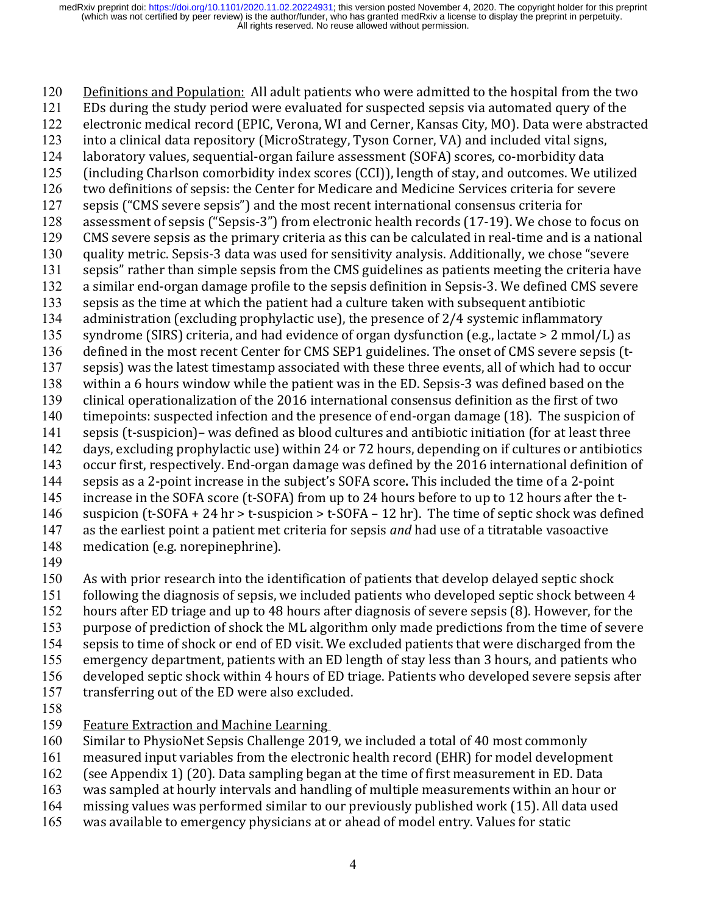120 Definitions and Population: All adult patients who were admitted to the hospital from the two 121 EDs during the study period were evaluated for suspected sepsis via automated query of the 122 electronic medical record (EPIC, Verona, WI and Cerner, Kansas City, MO). Data were abstracted 123 into a clinical data repository (MicroStrategy, Tyson Corner, VA) and included vital signs, 124 laboratory values, sequential-organ failure assessment (SOFA) scores, co-morbidity data 125 (including Charlson comorbidity index scores (CCI)), length of stay, and outcomes. We utilized 126 two definitions of sepsis: the Center for Medicare and Medicine Services criteria for severe 127 sepsis ("CMS severe sepsis") and the most recent international consensus criteria for 128 assessment of sepsis ("Sepsis-3") from electronic health records (17-19). We chose to focus on 129 CMS severe sepsis as the primary criteria as this can be calculated in real-time and is a national 130 quality metric. Sepsis-3 data was used for sensitivity analysis. Additionally, we chose "severe 131 sepsis" rather than simple sepsis from the CMS guidelines as patients meeting the criteria have 132 a similar end-organ damage profile to the sepsis definition in Sepsis-3. We defined CMS severe 133 sepsis as the time at which the patient had a culture taken with subsequent antibiotic 134 administration (excluding prophylactic use), the presence of  $2/4$  systemic inflammatory 135 syndrome (SIRS) criteria, and had evidence of organ dysfunction (e.g., lactate  $> 2$  mmol/L) as 136 defined in the most recent Center for CMS SEP1 guidelines. The onset of CMS severe sepsis (t-137 sepsis) was the latest timestamp associated with these three events, all of which had to occur 138 within a 6 hours window while the patient was in the ED. Sepsis-3 was defined based on the 139 clinical operationalization of the 2016 international consensus definition as the first of two 140 timepoints: suspected infection and the presence of end-organ damage (18). The suspicion of 141 sepsis (t-suspicion)– was defined as blood cultures and antibiotic initiation (for at least three 142 days, excluding prophylactic use) within 24 or 72 hours, depending on if cultures or antibiotics 143 occur first, respectively. End-organ damage was defined by the 2016 international definition of 144 sepsis as a 2-point increase in the subject's SOFA score. This included the time of a 2-point 145 increase in the SOFA score (t-SOFA) from up to 24 hours before to up to 12 hours after the t-146 suspicion (t-SOFA + 24 hr > t-suspicion > t-SOFA – 12 hr). The time of septic shock was defined 147 as the earliest point a patient met criteria for sepsis *and* had use of a titratable vasoactive 148 medication (e.g. norepinephrine).

149

150 As with prior research into the identification of patients that develop delayed septic shock

- 151 following the diagnosis of sepsis, we included patients who developed septic shock between 4
- 152 hours after ED triage and up to 48 hours after diagnosis of severe sepsis (8). However, for the
- 153 purpose of prediction of shock the ML algorithm only made predictions from the time of severe
- 154 sepsis to time of shock or end of ED visit. We excluded patients that were discharged from the
- 155 emergency department, patients with an ED length of stay less than 3 hours, and patients who
- 156 developed septic shock within 4 hours of ED triage. Patients who developed severe sepsis after
- 157 transferring out of the ED were also excluded.
- 158
- 159 Feature Extraction and Machine Learning
- 160 Similar to PhysioNet Sepsis Challenge 2019, we included a total of 40 most commonly
- 161 measured input variables from the electronic health record (EHR) for model development
- 162 (see Appendix 1) (20). Data sampling began at the time of first measurement in ED. Data
- 163 was sampled at hourly intervals and handling of multiple measurements within an hour or
- 164 missing values was performed similar to our previously published work (15). All data used
- 165 was available to emergency physicians at or ahead of model entry. Values for static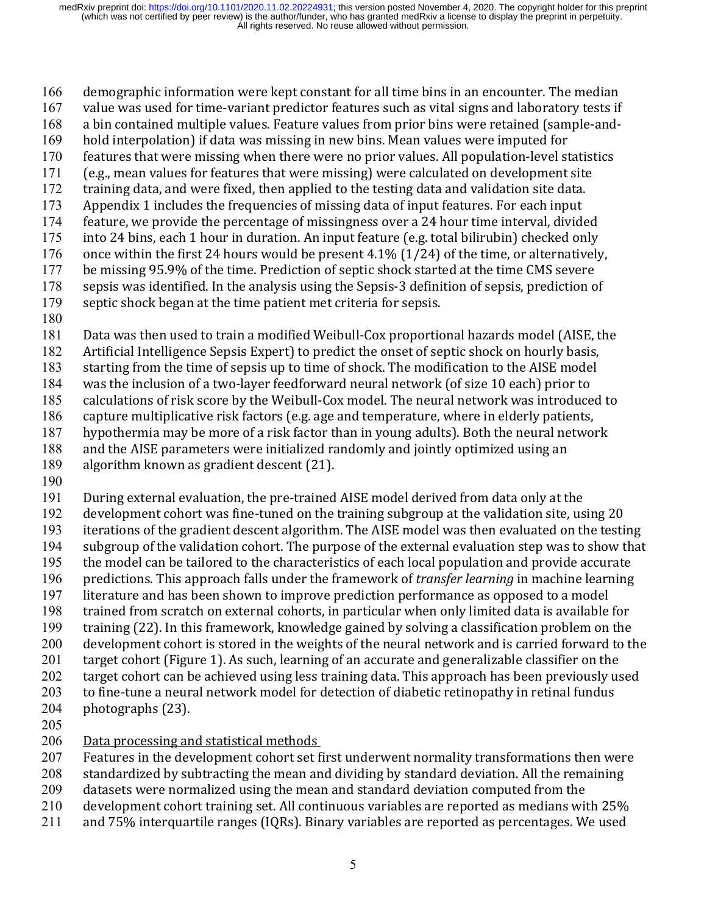166 demographic information were kept constant for all time bins in an encounter. The median

- 167 value was used for time-variant predictor features such as vital signs and laboratory tests if
- 168 a bin contained multiple values. Feature values from prior bins were retained (sample-and-
- 169 hold interpolation) if data was missing in new bins. Mean values were imputed for
- 170 features that were missing when there were no prior values. All population-level statistics
- 171 (e.g., mean values for features that were missing) were calculated on development site
- 172 training data, and were fixed, then applied to the testing data and validation site data.
- 173 Appendix 1 includes the frequencies of missing data of input features. For each input
- 174 feature, we provide the percentage of missingness over a 24 hour time interval, divided
- 175 into 24 bins, each 1 hour in duration. An input feature (e.g. total bilirubin) checked only
- 176 once within the first 24 hours would be present 4.1%  $(1/24)$  of the time, or alternatively, 177 be missing 95.9% of the time. Prediction of septic shock started at the time CMS severe
- 178 sepsis was identified. In the analysis using the Sepsis-3 definition of sepsis, prediction of
- 179 septic shock began at the time patient met criteria for sepsis.
- 180

181 Data was then used to train a modified Weibull-Cox proportional hazards model (AISE, the

182 Artificial Intelligence Sepsis Expert) to predict the onset of septic shock on hourly basis,

183 starting from the time of sepsis up to time of shock. The modification to the AISE model

184 was the inclusion of a two-layer feedforward neural network (of size 10 each) prior to

185 calculations of risk score by the Weibull-Cox model. The neural network was introduced to

186 capture multiplicative risk factors (e.g. age and temperature, where in elderly patients,

187 hypothermia may be more of a risk factor than in young adults). Both the neural network

188 and the AISE parameters were initialized randomly and jointly optimized using an

189 algorithm known as gradient descent  $(21)$ .

190

191 During external evaluation, the pre-trained AISE model derived from data only at the

192 development cohort was fine-tuned on the training subgroup at the validation site, using 20 193 iterations of the gradient descent algorithm. The AISE model was then evaluated on the testing

194 subgroup of the validation cohort. The purpose of the external evaluation step was to show that

- 195 the model can be tailored to the characteristics of each local population and provide accurate
- 196 predictions. This approach falls under the framework of *transfer learning* in machine learning

197 literature and has been shown to improve prediction performance as opposed to a model

- 198 trained from scratch on external cohorts, in particular when only limited data is available for
- 199 training (22). In this framework, knowledge gained by solving a classification problem on the

200 development cohort is stored in the weights of the neural network and is carried forward to the

201 target cohort (Figure 1). As such, learning of an accurate and generalizable classifier on the

202 target cohort can be achieved using less training data. This approach has been previously used

203 to fine-tune a neural network model for detection of diabetic retinopathy in retinal fundus

- 204 photographs (23).
- 205

# 206 Data processing and statistical methods

207 Features in the development cohort set first underwent normality transformations then were

208 standardized by subtracting the mean and dividing by standard deviation. All the remaining

- 209 datasets were normalized using the mean and standard deviation computed from the
- 210 development cohort training set. All continuous variables are reported as medians with 25%
- $211$  and  $75\%$  interquartile ranges (IQRs). Binary variables are reported as percentages. We used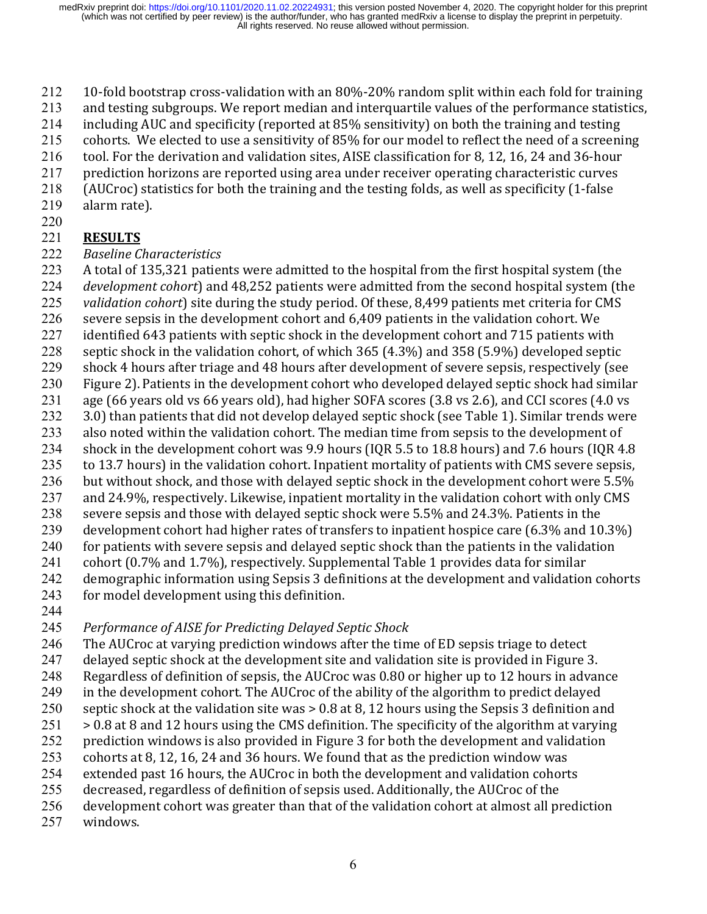- $212$  10-fold bootstrap cross-validation with an 80%-20% random split within each fold for training
- 213 and testing subgroups. We report median and interquartile values of the performance statistics,
- $214$  including AUC and specificity (reported at 85% sensitivity) on both the training and testing
- 215 cohorts. We elected to use a sensitivity of 85% for our model to reflect the need of a screening
- 216 tool. For the derivation and validation sites, AISE classification for 8, 12, 16, 24 and 36-hour
- 217 prediction horizons are reported using area under receiver operating characteristic curves
- 218 (AUCroc) statistics for both the training and the testing folds, as well as specificity (1-false
- 219 alarm rate).
- 220

# 221 **RESULTS**

- 222 *Baseline Characteristics*
- 223 A total of 135,321 patients were admitted to the hospital from the first hospital system (the
- 224 *development cohort*) and 48,252 patients were admitted from the second hospital system (the
- 225 *validation cohort*) site during the study period. Of these, 8,499 patients met criteria for CMS
- $226$  severe sepsis in the development cohort and  $6.409$  patients in the validation cohort. We
- 227 identified 643 patients with septic shock in the development cohort and 715 patients with
- 228 septic shock in the validation cohort, of which  $365$  (4.3%) and  $358$  (5.9%) developed septic
- 229 shock 4 hours after triage and 48 hours after development of severe sepsis, respectively (see 230 Figure 2). Patients in the development cohort who developed delayed septic shock had similar
- 231 age (66 years old vs 66 years old), had higher SOFA scores (3.8 vs 2.6), and CCI scores (4.0 vs
- $232$  3.0) than patients that did not develop delayed septic shock (see Table 1). Similar trends were
- 233 also noted within the validation cohort. The median time from sepsis to the development of
- 234 shock in the development cohort was 9.9 hours (IQR 5.5 to 18.8 hours) and 7.6 hours (IQR 4.8
- 235 to 13.7 hours) in the validation cohort. Inpatient mortality of patients with CMS severe sepsis,
- 236 but without shock, and those with delayed septic shock in the development cohort were 5.5%
- 237 and 24.9%, respectively. Likewise, inpatient mortality in the validation cohort with only CMS
- 238 severe sepsis and those with delayed septic shock were 5.5% and 24.3%. Patients in the
- 239 development cohort had higher rates of transfers to inpatient hospice care  $(6.3\%$  and  $10.3\%)$
- 240 for patients with severe sepsis and delayed septic shock than the patients in the validation
- 241 cohort (0.7% and 1.7%), respectively. Supplemental Table 1 provides data for similar
- 242 demographic information using Sepsis 3 definitions at the development and validation cohorts
- 243 for model development using this definition.
- 244

# 245 *Performance of AISE for Predicting Delayed Septic Shock*

- 246 The AUCroc at varying prediction windows after the time of ED sepsis triage to detect
- 247 delayed septic shock at the development site and validation site is provided in Figure 3.
- 248 Regardless of definition of sepsis, the AUCroc was 0.80 or higher up to 12 hours in advance
- 249 in the development cohort. The AUCroc of the ability of the algorithm to predict delayed
- 250 septic shock at the validation site was  $> 0.8$  at 8, 12 hours using the Sepsis 3 definition and
- $251 > 0.8$  at 8 and 12 hours using the CMS definition. The specificity of the algorithm at varying
- 252 prediction windows is also provided in Figure 3 for both the development and validation
- 253 cohorts at 8, 12, 16, 24 and 36 hours. We found that as the prediction window was
- 254 extended past 16 hours, the AUCroc in both the development and validation cohorts
- 255 decreased, regardless of definition of sepsis used. Additionally, the AUCroc of the
- 256 development cohort was greater than that of the validation cohort at almost all prediction
- 257 windows.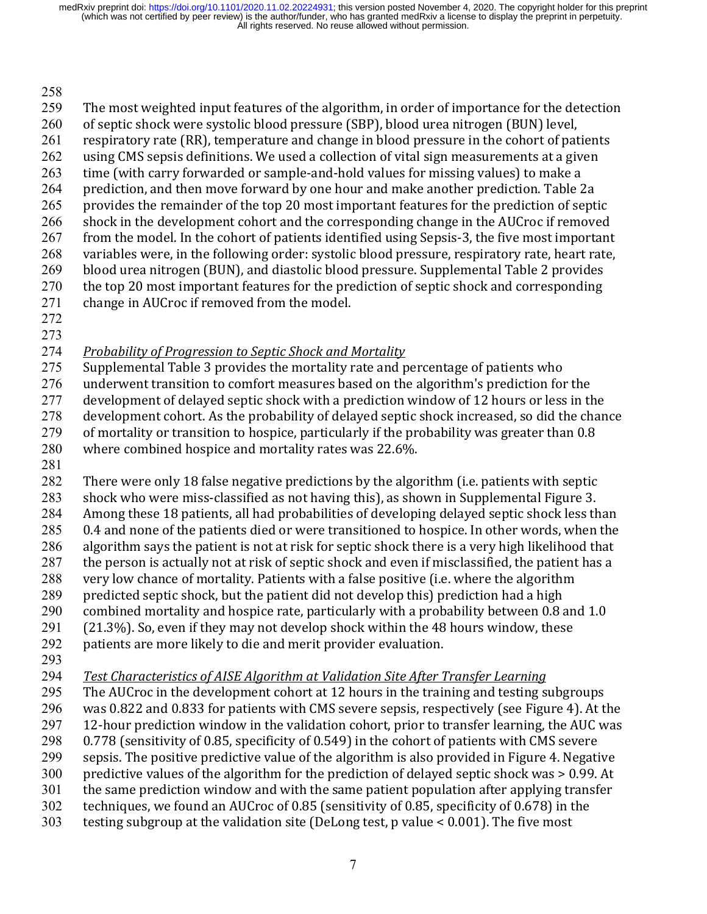#### 258

259 The most weighted input features of the algorithm, in order of importance for the detection 260 of septic shock were systolic blood pressure (SBP), blood urea nitrogen (BUN) level, 261 respiratory rate (RR), temperature and change in blood pressure in the cohort of patients 262 using CMS sepsis definitions. We used a collection of vital sign measurements at a given 263 time (with carry forwarded or sample-and-hold values for missing values) to make a 264 prediction, and then move forward by one hour and make another prediction. Table 2a 265 provides the remainder of the top 20 most important features for the prediction of septic 266 shock in the development cohort and the corresponding change in the AUCroc if removed 267 from the model. In the cohort of patients identified using Sepsis-3, the five most important 268 variables were, in the following order: systolic blood pressure, respiratory rate, heart rate, 269 blood urea nitrogen (BUN), and diastolic blood pressure. Supplemental Table 2 provides  $270$  the top 20 most important features for the prediction of septic shock and corresponding

- $271$  change in AUCroc if removed from the model.
- 272
- 273
- 274 Probability of Progression to Septic Shock and Mortality
- 275 Supplemental Table 3 provides the mortality rate and percentage of patients who
- 276 underwent transition to comfort measures based on the algorithm's prediction for the
- 277 development of delayed septic shock with a prediction window of 12 hours or less in the
- $278$  development cohort. As the probability of delayed septic shock increased, so did the chance
- $279$  of mortality or transition to hospice, particularly if the probability was greater than 0.8
- 280 where combined hospice and mortality rates was 22.6%.
- 281

282 There were only 18 false negative predictions by the algorithm (i.e. patients with septic 283 shock who were miss-classified as not having this), as shown in Supplemental Figure 3.

- 284 Among these 18 patients, all had probabilities of developing delayed septic shock less than
- 285 0.4 and none of the patients died or were transitioned to hospice. In other words, when the
- 286 algorithm says the patient is not at risk for septic shock there is a very high likelihood that
- 287 the person is actually not at risk of septic shock and even if misclassified, the patient has a
- 288 very low chance of mortality. Patients with a false positive (i.e. where the algorithm
- 289 predicted septic shock, but the patient did not develop this) prediction had a high 290 combined mortality and hospice rate, particularly with a probability between 0.8 and 1.0
- $291$  (21.3%). So, even if they may not develop shock within the 48 hours window, these
- 292 patients are more likely to die and merit provider evaluation.
- 293
- 294 *Test Characteristics of AISE Algorithm at Validation Site After Transfer Learning*
- 295 The AUCroc in the development cohort at 12 hours in the training and testing subgroups
- 296 was 0.822 and 0.833 for patients with CMS severe sepsis, respectively (see Figure 4). At the
- $297$  12-hour prediction window in the validation cohort, prior to transfer learning, the AUC was
- 298 0.778 (sensitivity of 0.85, specificity of 0.549) in the cohort of patients with CMS severe
- 299 sepsis. The positive predictive value of the algorithm is also provided in Figure 4. Negative
- 300 predictive values of the algorithm for the prediction of delayed septic shock was  $> 0.99$ . At
- 301 the same prediction window and with the same patient population after applying transfer
- 302 techniques, we found an AUCroc of 0.85 (sensitivity of 0.85, specificity of 0.678) in the
- 303 testing subgroup at the validation site (DeLong test, p value  $\lt 0.001$ ). The five most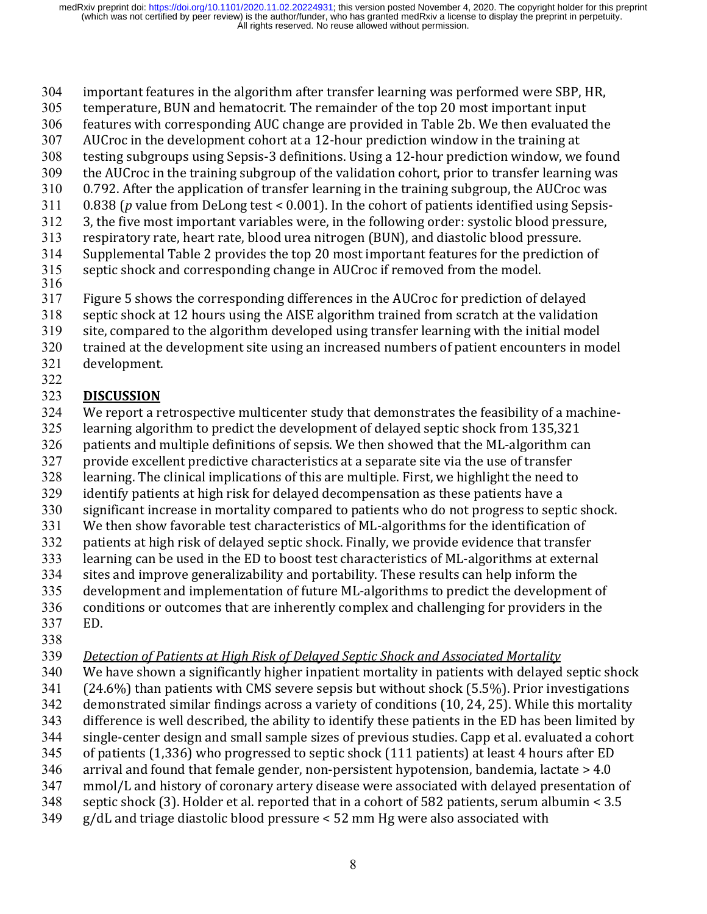- 304 important features in the algorithm after transfer learning was performed were SBP, HR,
- 305 temperature, BUN and hematocrit. The remainder of the top 20 most important input
- 306 features with corresponding AUC change are provided in Table 2b. We then evaluated the
- $307$  AUCroc in the development cohort at a 12-hour prediction window in the training at
- 308 testing subgroups using Sepsis-3 definitions. Using a 12-hour prediction window, we found
- 309 the AUCroc in the training subgroup of the validation cohort, prior to transfer learning was
- $310$  0.792. After the application of transfer learning in the training subgroup, the AUCroc was
- $311$  0.838 (*p* value from DeLong test < 0.001). In the cohort of patients identified using Sepsis-
- 312 3, the five most important variables were, in the following order: systolic blood pressure,
- 313 respiratory rate, heart rate, blood urea nitrogen (BUN), and diastolic blood pressure.
- 314 Supplemental Table 2 provides the top 20 most important features for the prediction of
- 315 septic shock and corresponding change in AUCroc if removed from the model. 316
- 317 Figure 5 shows the corresponding differences in the AUCroc for prediction of delayed
- $318$  septic shock at 12 hours using the AISE algorithm trained from scratch at the validation
- 319 site, compared to the algorithm developed using transfer learning with the initial model
- 320 trained at the development site using an increased numbers of patient encounters in model
- 321 development.

#### 322 323 **DISCUSSION**

- 324 We report a retrospective multicenter study that demonstrates the feasibility of a machine-
- 325 learning algorithm to predict the development of delayed septic shock from 135,321
- 326 patients and multiple definitions of sepsis. We then showed that the ML-algorithm can
- 327 provide excellent predictive characteristics at a separate site via the use of transfer
- 328 learning. The clinical implications of this are multiple. First, we highlight the need to
- 329 identify patients at high risk for delayed decompensation as these patients have a
- 330 significant increase in mortality compared to patients who do not progress to septic shock.
- 331 We then show favorable test characteristics of ML-algorithms for the identification of
- 332 patients at high risk of delayed septic shock. Finally, we provide evidence that transfer
- 333 learning can be used in the ED to boost test characteristics of ML-algorithms at external 334 sites and improve generalizability and portability. These results can help inform the
- 335 development and implementation of future ML-algorithms to predict the development of
- 336 conditions or outcomes that are inherently complex and challenging for providers in the
- 337 ED.
- 338
- 339 *Detection of Patients at High Risk of Delayed Septic Shock and Associated Mortality*
- 340 We have shown a significantly higher inpatient mortality in patients with delayed septic shock
- $341$  (24.6%) than patients with CMS severe sepsis but without shock (5.5%). Prior investigations
- 342 demonstrated similar findings across a variety of conditions (10, 24, 25). While this mortality
- 343 difference is well described, the ability to identify these patients in the ED has been limited by
- 344 single-center design and small sample sizes of previous studies. Capp et al. evaluated a cohort
- 345 of patients  $(1,336)$  who progressed to septic shock  $(111$  patients) at least 4 hours after ED
- $346$  arrival and found that female gender, non-persistent hypotension, bandemia, lactate  $> 4.0$
- 347 mmol/L and history of coronary artery disease were associated with delayed presentation of
- 348 septic shock (3). Holder et al. reported that in a cohort of 582 patients, serum albumin  $\leq 3.5$
- $349$  g/dL and triage diastolic blood pressure  $\lt 52$  mm Hg were also associated with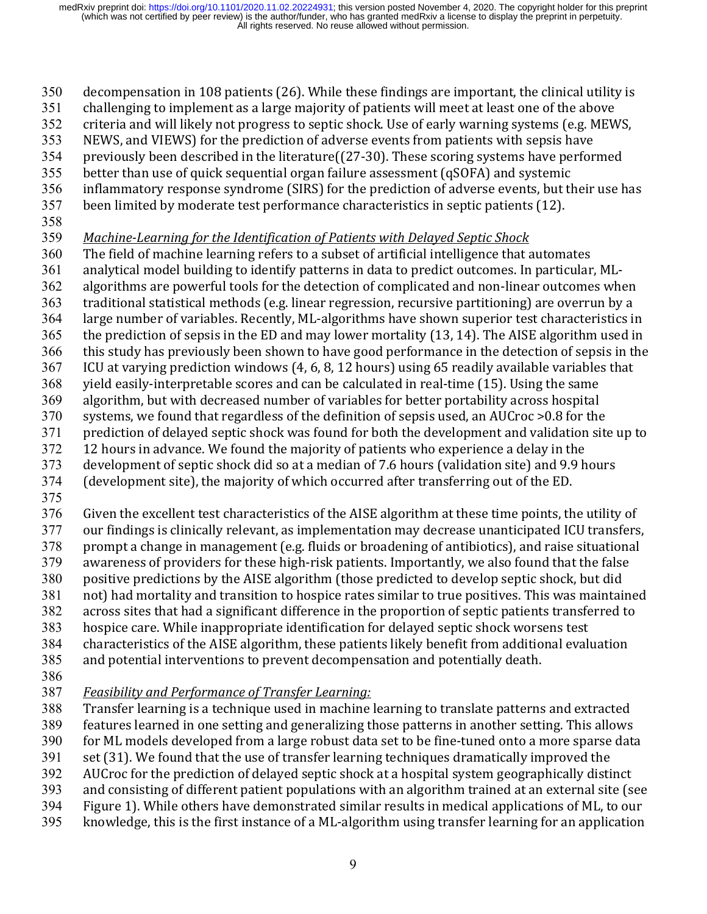- $350$  decompensation in 108 patients (26). While these findings are important, the clinical utility is
- 351 challenging to implement as a large majority of patients will meet at least one of the above
- 352 criteria and will likely not progress to septic shock. Use of early warning systems (e.g. MEWS,
- 353 NEWS, and VIEWS) for the prediction of adverse events from patients with sepsis have
- $354$  previously been described in the literature( $(27-30)$ . These scoring systems have performed
- $355$  better than use of quick sequential organ failure assessment  $(gSOFA)$  and systemic
- 356 inflammatory response syndrome (SIRS) for the prediction of adverse events, but their use has
- 357 been limited by moderate test performance characteristics in septic patients (12).
- 358
- 359 Machine-Learning for the Identification of Patients with Delayed Septic Shock
- 360 The field of machine learning refers to a subset of artificial intelligence that automates
- 361 analytical model building to identify patterns in data to predict outcomes. In particular, ML-
- 362 algorithms are powerful tools for the detection of complicated and non-linear outcomes when
- 363 traditional statistical methods (e.g. linear regression, recursive partitioning) are overrun by a
- 364 large number of variables. Recently, ML-algorithms have shown superior test characteristics in
- 365 the prediction of sepsis in the ED and may lower mortality  $(13, 14)$ . The AISE algorithm used in
- 366 this study has previously been shown to have good performance in the detection of sepsis in the
- $367$  ICU at varying prediction windows (4, 6, 8, 12 hours) using 65 readily available variables that 368 yield easily-interpretable scores and can be calculated in real-time (15). Using the same
- 369 algorithm, but with decreased number of variables for better portability across hospital
- 370 systems, we found that regardless of the definition of sepsis used, an AUCroc >0.8 for the
- 371 prediction of delayed septic shock was found for both the development and validation site up to
- 372 12 hours in advance. We found the majority of patients who experience a delay in the
- 373 development of septic shock did so at a median of 7.6 hours (validation site) and 9.9 hours
- 374 (development site), the majority of which occurred after transferring out of the ED.
- 375
- 376 Given the excellent test characteristics of the AISE algorithm at these time points, the utility of
- 377 our findings is clinically relevant, as implementation may decrease unanticipated ICU transfers,  $378$  prompt a change in management (e.g. fluids or broadening of antibiotics), and raise situational
- 379 awareness of providers for these high-risk patients. Importantly, we also found that the false
- 380 positive predictions by the AISE algorithm (those predicted to develop septic shock, but did
- 381 not) had mortality and transition to hospice rates similar to true positives. This was maintained
- 382 across sites that had a significant difference in the proportion of septic patients transferred to
- 383 hospice care. While inappropriate identification for delayed septic shock worsens test
- 384 characteristics of the AISE algorithm, these patients likely benefit from additional evaluation
- 385 and potential interventions to prevent decompensation and potentially death.
- 386
- 387 *Feasibility and Performance of Transfer Learning:*
- 388 Transfer learning is a technique used in machine learning to translate patterns and extracted
- 389 features learned in one setting and generalizing those patterns in another setting. This allows
- 390 for ML models developed from a large robust data set to be fine-tuned onto a more sparse data
- 391 set (31). We found that the use of transfer learning techniques dramatically improved the
- 392 AUCroc for the prediction of delayed septic shock at a hospital system geographically distinct
- 393 and consisting of different patient populations with an algorithm trained at an external site (see
- 394 Figure 1). While others have demonstrated similar results in medical applications of ML, to our
- $395$  knowledge, this is the first instance of a ML-algorithm using transfer learning for an application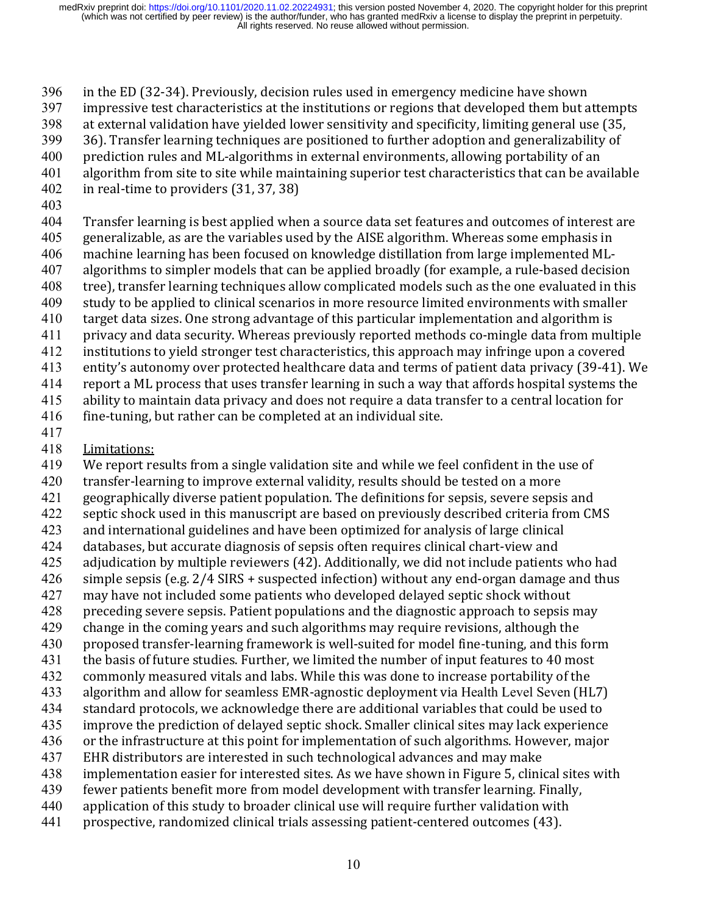396 in the ED (32-34). Previously, decision rules used in emergency medicine have shown

- 397 impressive test characteristics at the institutions or regions that developed them but attempts
- $398$  at external validation have vielded lower sensitivity and specificity, limiting general use (35,
- 399 36). Transfer learning techniques are positioned to further adoption and generalizability of
- 400 prediction rules and ML-algorithms in external environments, allowing portability of an
- 401 algorithm from site to site while maintaining superior test characteristics that can be available
- 402 in real-time to providers (31, 37, 38)
- 403

404 Transfer learning is best applied when a source data set features and outcomes of interest are

- 405 generalizable, as are the variables used by the AISE algorithm. Whereas some emphasis in
- 406 machine learning has been focused on knowledge distillation from large implemented ML-407 algorithms to simpler models that can be applied broadly (for example, a rule-based decision
- 408 tree), transfer learning techniques allow complicated models such as the one evaluated in this
- 409 study to be applied to clinical scenarios in more resource limited environments with smaller
- 410 target data sizes. One strong advantage of this particular implementation and algorithm is
- 411 privacy and data security. Whereas previously reported methods co-mingle data from multiple
- 412 institutions to yield stronger test characteristics, this approach may infringe upon a covered
- 413 entity's autonomy over protected healthcare data and terms of patient data privacy (39-41). We
- 414 report a ML process that uses transfer learning in such a way that affords hospital systems the

415 ability to maintain data privacy and does not require a data transfer to a central location for

- $416$  fine-tuning, but rather can be completed at an individual site.
- 417
- 418 Limitations:

419 We report results from a single validation site and while we feel confident in the use of

- 420 transfer-learning to improve external validity, results should be tested on a more
- 421 geographically diverse patient population. The definitions for sepsis, severe sepsis and
- 422 septic shock used in this manuscript are based on previously described criteria from CMS
- 423 and international guidelines and have been optimized for analysis of large clinical
- 424 databases, but accurate diagnosis of sepsis often requires clinical chart-view and
- 425 adjudication by multiple reviewers (42). Additionally, we did not include patients who had
- $426$  simple sepsis (e.g.  $2/4$  SIRS + suspected infection) without any end-organ damage and thus
- 427 may have not included some patients who developed delayed septic shock without
- 428 preceding severe sepsis. Patient populations and the diagnostic approach to sepsis may
- 429 change in the coming years and such algorithms may require revisions, although the
- 430 proposed transfer-learning framework is well-suited for model fine-tuning, and this form
- 431 the basis of future studies. Further, we limited the number of input features to 40 most
- 432 commonly measured vitals and labs. While this was done to increase portability of the
- 433 algorithm and allow for seamless EMR-agnostic deployment via Health Level Seven (HL7)
- 434 standard protocols, we acknowledge there are additional variables that could be used to 435 improve the prediction of delayed septic shock. Smaller clinical sites may lack experience
- 436 or the infrastructure at this point for implementation of such algorithms. However, major
- 437 EHR distributors are interested in such technological advances and may make
- 438 implementation easier for interested sites. As we have shown in Figure 5, clinical sites with
- 439 fewer patients benefit more from model development with transfer learning. Finally,
- 440 application of this study to broader clinical use will require further validation with
- 441 prospective, randomized clinical trials assessing patient-centered outcomes (43).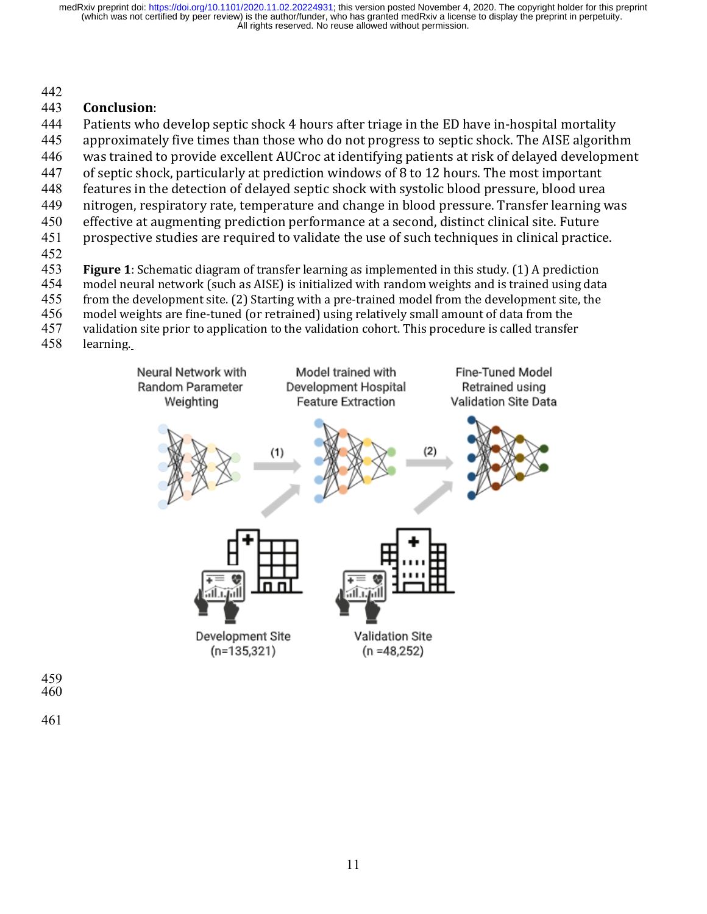#### 442

#### 443 **Conclusion**:

444 Patients who develop septic shock 4 hours after triage in the ED have in-hospital mortality

- 445 approximately five times than those who do not progress to septic shock. The AISE algorithm
- 446 was trained to provide excellent AUCroc at identifying patients at risk of delayed development
- 447 of septic shock, particularly at prediction windows of 8 to 12 hours. The most important
- 448 features in the detection of delayed septic shock with systolic blood pressure, blood urea
- 449 nitrogen, respiratory rate, temperature and change in blood pressure. Transfer learning was
- 450 effective at augmenting prediction performance at a second, distinct clinical site. Future 451 prospective studies are required to validate the use of such techniques in clinical practice.
- 
- 452<br>453
- **Figure 1**: Schematic diagram of transfer learning as implemented in this study. (1) A prediction
- 454 model neural network (such as AISE) is initialized with random weights and is trained using data
- 455 from the development site. (2) Starting with a pre-trained model from the development site, the
- 456 model weights are fine-tuned (or retrained) using relatively small amount of data from the
- 457 validation site prior to application to the validation cohort. This procedure is called transfer<br>458 learning.
- learning.



459 460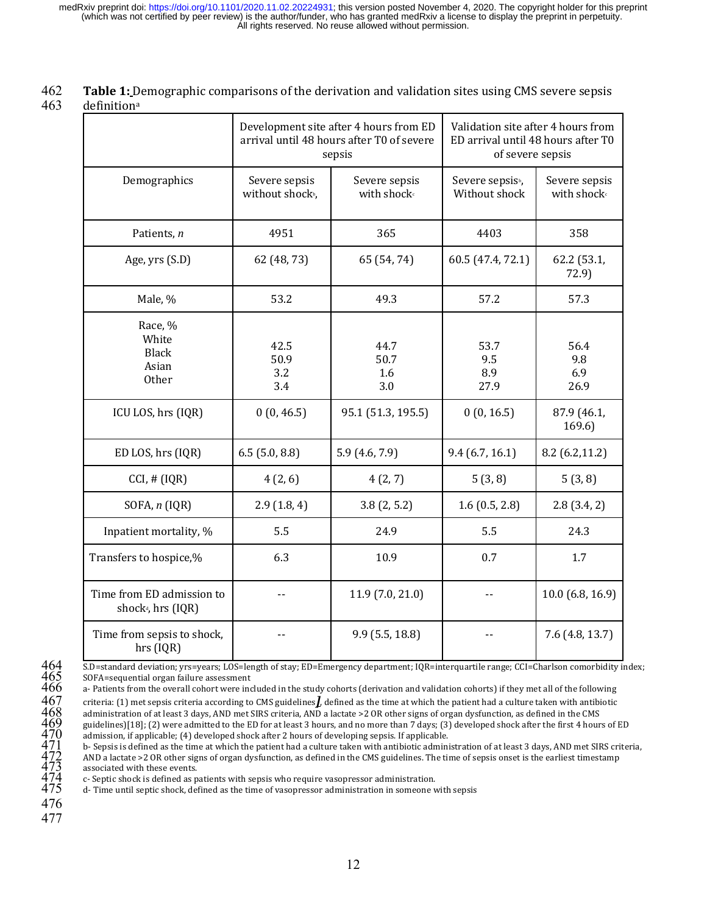**462 Table 1:** Demographic comparisons of the derivation and validation sites using CMS severe sepsis 463 definitiona

|                                                             |                                               | Development site after 4 hours from ED<br>arrival until 48 hours after T0 of severe<br>sepsis | Validation site after 4 hours from<br>ED arrival until 48 hours after T0<br>of severe sepsis |                                          |  |
|-------------------------------------------------------------|-----------------------------------------------|-----------------------------------------------------------------------------------------------|----------------------------------------------------------------------------------------------|------------------------------------------|--|
| Demographics                                                | Severe sepsis<br>without shock <sup>b</sup> , | Severe sepsis<br>with shock <sup>c</sup>                                                      | Severe sepsis <sup>b</sup> ,<br>Without shock                                                | Severe sepsis<br>with shock <sup>c</sup> |  |
| Patients, n                                                 | 4951                                          | 365                                                                                           | 4403                                                                                         | 358                                      |  |
| Age, yrs (S.D)                                              | 62 (48, 73)                                   | 65 (54, 74)                                                                                   | 60.5 (47.4, 72.1)                                                                            | 62.2 (53.1,<br>72.9)                     |  |
| Male, %                                                     | 53.2                                          | 49.3                                                                                          | 57.2                                                                                         | 57.3                                     |  |
| Race, %<br>White<br><b>Black</b><br>Asian<br><b>Other</b>   | 42.5<br>50.9<br>3.2<br>3.4                    | 44.7<br>50.7<br>1.6<br>3.0                                                                    | 53.7<br>9.5<br>8.9<br>27.9                                                                   | 56.4<br>9.8<br>6.9<br>26.9               |  |
| ICU LOS, hrs (IQR)                                          | 0(0, 46.5)                                    | 95.1 (51.3, 195.5)                                                                            | 0(0, 16.5)                                                                                   | 87.9 (46.1,<br>169.6)                    |  |
| ED LOS, hrs (IQR)                                           | $6.5$ $(5.0, 8.8)$                            | 5.9(4.6, 7.9)                                                                                 | 9.4(6.7, 16.1)                                                                               | 8.2(6.2, 11.2)                           |  |
| CCI, # (IQR)                                                | 4(2, 6)                                       | 4(2, 7)                                                                                       | 5(3,8)                                                                                       | 5(3,8)                                   |  |
| SOFA, $n$ (IQR)                                             | 2.9(1.8, 4)                                   | 3.8(2, 5.2)                                                                                   | 1.6(0.5, 2.8)                                                                                | 2.8(3.4, 2)                              |  |
| Inpatient mortality, %                                      | 5.5                                           | 24.9                                                                                          | 5.5                                                                                          | 24.3                                     |  |
| Transfers to hospice,%                                      | 6.3                                           | 10.9                                                                                          | 0.7                                                                                          | 1.7                                      |  |
| Time from ED admission to<br>shock <sup>d</sup> , hrs (IQR) | $-$                                           | 11.9(7.0, 21.0)                                                                               |                                                                                              | 10.0 (6.8, 16.9)                         |  |
| Time from sepsis to shock,<br>hrs (IQR)                     |                                               | 9.9(5.5, 18.8)                                                                                |                                                                                              | 7.6 (4.8, 13.7)                          |  |

SOFA=sequential organ failure assessment

a- Patients from the overall cohort were included in the study cohorts (derivation and validation cohorts) if they met all of the following

criteria: (1) met sepsis criteria according to CMS guidelines*]*, defined as the time at which the patient had a culture taken with antibiotic administration of at least 3 days, AND met SIRS criteria, AND a lactate >2 OR other signs of organ dysfunction, as defined in the CMS

guidelines)[18]; (2) were admitted to the ED for at least 3 hours, and no more than 7 days; (3) developed shock after the first 4 hours of ED admission, if applicable; (4) developed shock after 2 hours of developing sepsis. If applicable.

5.D=standard deviation; yrs=years; LOS=length of stay; ED=Emergency department; IQR=interquartile range; CCI=Charlson comorbidity index;<br>
3. SOFA=sequential organ failure assessment<br>
466 a-Patients from the overall cohort b- Sepsis is defined as the time at which the patient had a culture taken with antibiotic administration of at least 3 days, AND met SIRS criteria, AND a lactate >2 OR other signs of organ dysfunction, as defined in the CMS guidelines. The time of sepsis onset is the earliest timestamp associated with these events.

c- Septic shock is defined as patients with sepsis who require vasopressor administration.

d- Time until septic shock, defined as the time of vasopressor administration in someone with sepsis

476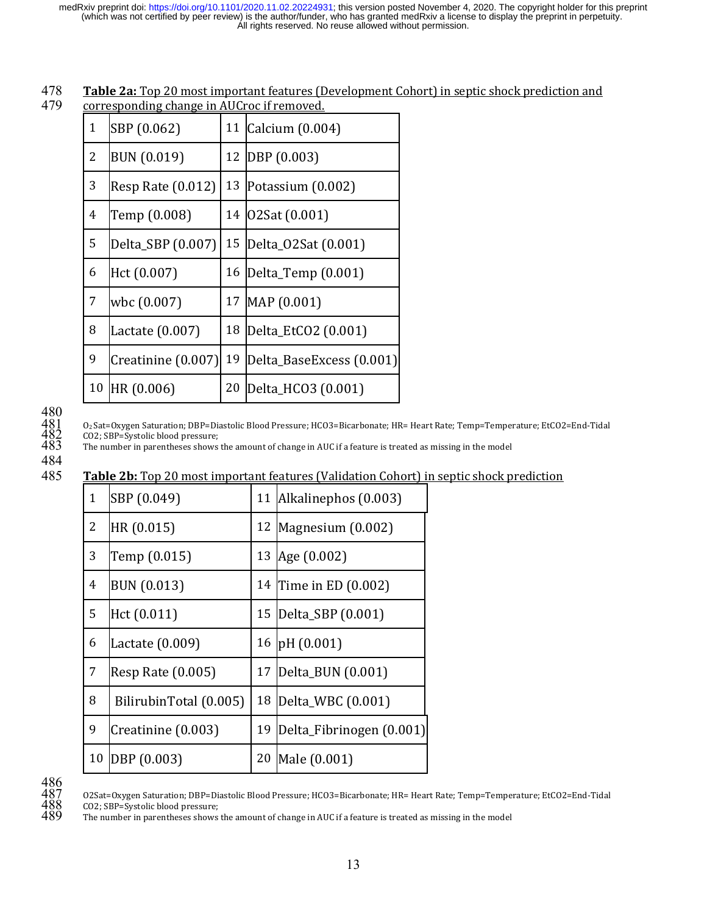| 478 | <b>Table 2a:</b> Top 20 most important features (Development Cohort) in septic shock prediction and |
|-----|-----------------------------------------------------------------------------------------------------|
| 479 | corresponding change in AUCroc if removed.                                                          |

| ۰. |
|----|
| ٠  |
|    |

| $\mathbf{1}$   | SBP (0.062)        |    | 11 Calcium (0.004)       |
|----------------|--------------------|----|--------------------------|
| 2              | <b>BUN (0.019)</b> |    | 12 DBP (0.003)           |
| 3              | Resp Rate (0.012)  | 13 | Potassium (0.002)        |
| $\overline{4}$ | Temp (0.008)       | 14 | 02Sat (0.001)            |
| 5              | Delta_SBP (0.007)  | 15 | Delta_02Sat (0.001)      |
| 6              | Hct (0.007)        |    | 16 Delta_Temp (0.001)    |
| $\overline{7}$ | wbc (0.007)        | 17 | MAP (0.001)              |
| 8              | Lactate (0.007)    | 18 | Delta_EtCO2 (0.001)      |
| 9              | Creatinine (0.007) | 19 | Delta_BaseExcess (0.001) |
| 10             | HR (0.006)         | 20 | Delta_HCO3 (0.001)       |

# $\begin{array}{c} 480 \\ 481 \\ 482 \\ 483 \end{array}$

 O2 Sat=Oxygen Saturation; DBP=Diastolic Blood Pressure; HCO3=Bicarbonate; HR= Heart Rate; Temp=Temperature; EtCO2=End-Tidal CO2; SBP=Systolic blood pressure;

The number in parentheses shows the amount of change in AUC if a feature is treated as missing in the model

#### 485 Table 2b: Top 20 most important features (Validation Cohort) in septic shock prediction

| $\mathbf{1}$   | SBP (0.049)            | 11 | Alkalinephos (0.003)     |
|----------------|------------------------|----|--------------------------|
| $\overline{2}$ | HR (0.015)             |    | 12 Magnesium $(0.002)$   |
| 3              | Temp (0.015)           | 13 | Age (0.002)              |
| $\overline{4}$ | <b>BUN (0.013)</b>     | 14 | Time in ED (0.002)       |
| 5              | Hct (0.011)            | 15 | Delta_SBP (0.001)        |
| 6              | Lactate (0.009)        | 16 | pH(0.001)                |
| $\overline{7}$ | Resp Rate (0.005)      | 17 | Delta_BUN (0.001)        |
| 8              | BilirubinTotal (0.005) | 18 | Delta_WBC (0.001)        |
| 9              | Creatinine (0.003)     | 19 | Delta_Fibrinogen (0.001) |
| 10             | DBP (0.003)            | 20 | Male (0.001)             |

The number in parentheses shows the amount of change in AUC if a feature is treated as missing in the model

 O2Sat=Oxygen Saturation; DBP=Diastolic Blood Pressure; HCO3=Bicarbonate; HR= Heart Rate; Temp=Temperature; EtCO2=End-Tidal  $\frac{488}{489}$  CO2; SBP=Systolic blood pressure;<br> $489$  The number in parentheses shows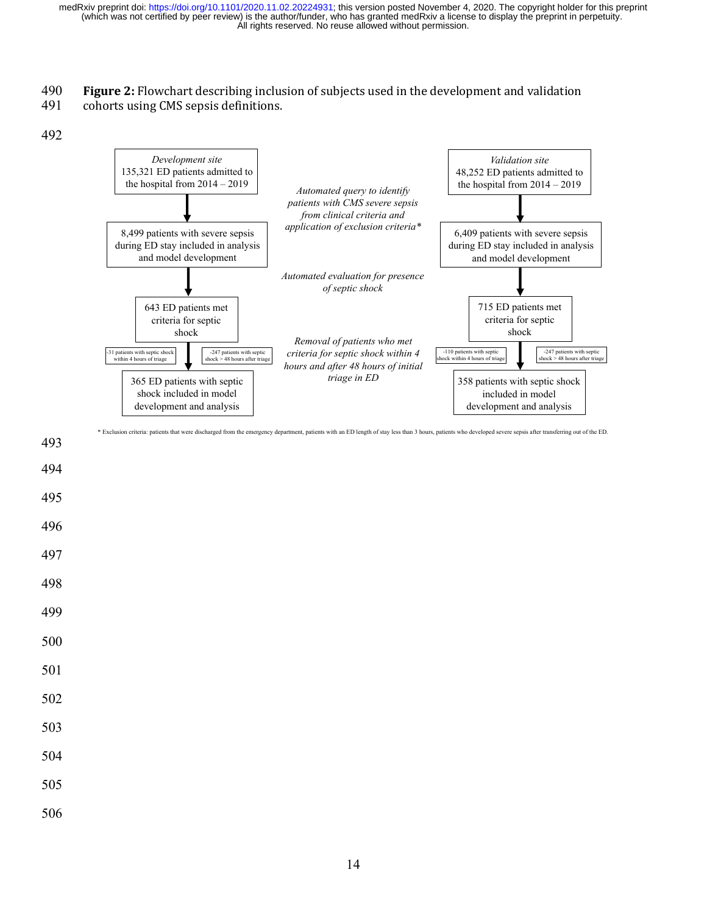#### 490 **Figure 2:** Flowchart describing inclusion of subjects used in the development and validation

491 cohorts using CMS sepsis definitions.

492



- 493 494
- 495
- 496
- 
- 497
- 498

- 500
- 501
- 502
- 
- 503
- 504
- 505
- 
- 506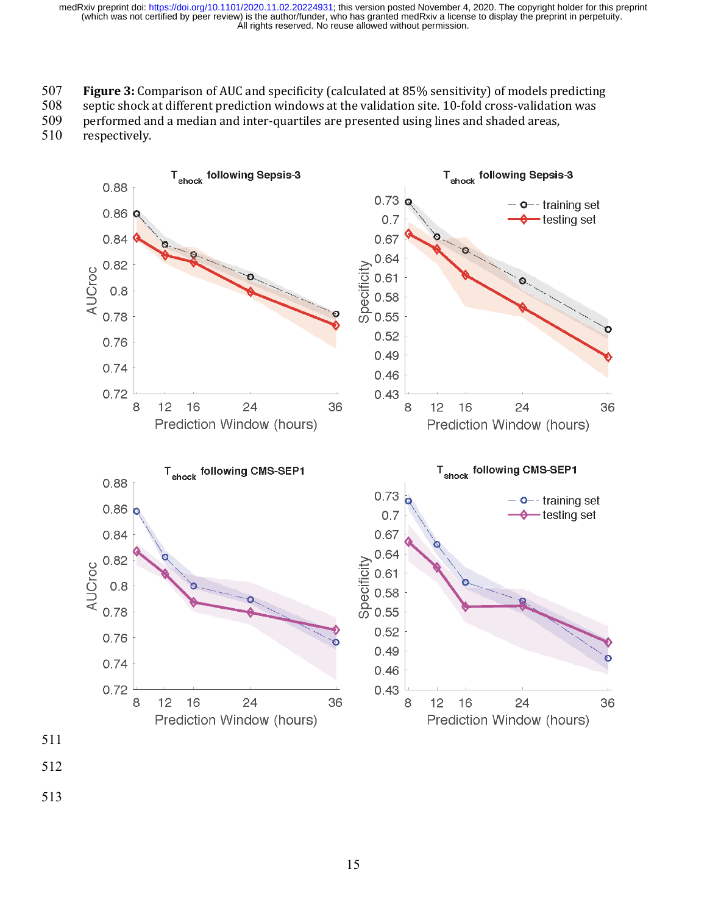507 **Figure 3:** Comparison of AUC and specificity (calculated at 85% sensitivity) of models predicting

508 septic shock at different prediction windows at the validation site. 10-fold cross-validation was

509 performed and a median and inter-quartiles are presented using lines and shaded areas,

510 respectively.

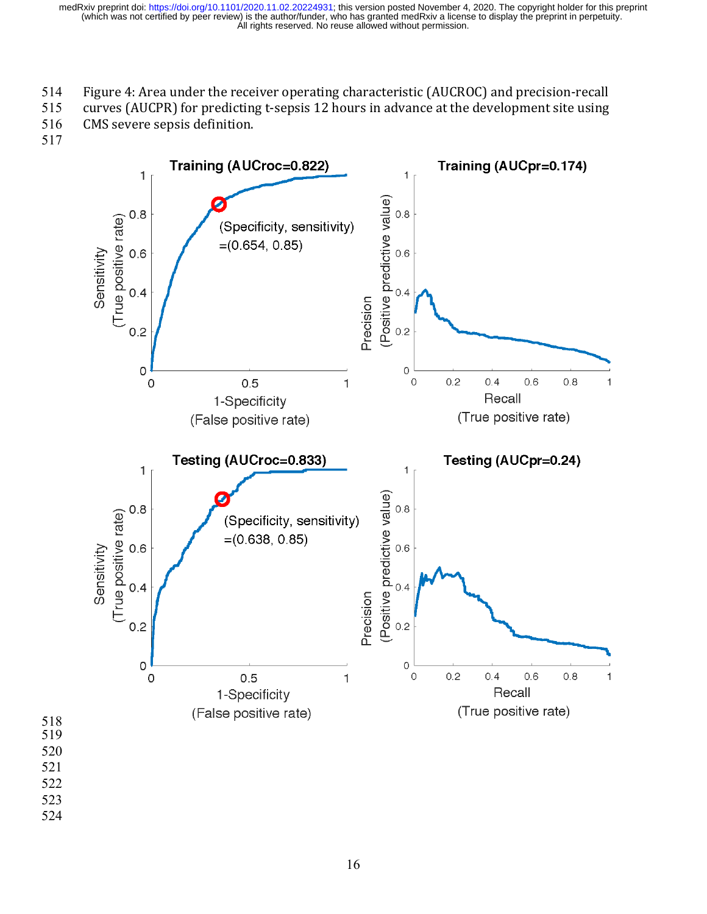- 514 Figure 4: Area under the receiver operating characteristic (AUCROC) and precision-recall
- 515 curves (AUCPR) for predicting t-sepsis 12 hours in advance at the development site using

516 CMS severe sepsis definition.

517

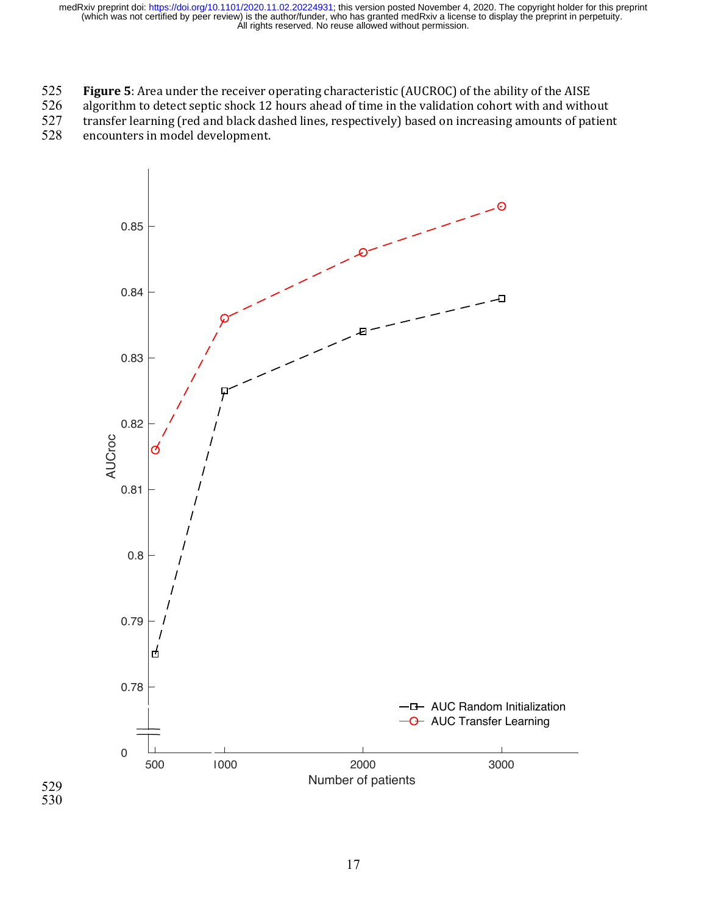525 **Figure 5**: Area under the receiver operating characteristic (AUCROC) of the ability of the AISE<br>526 algorithm to detect septic shock 12 hours ahead of time in the validation cohort with and withe

526 algorithm to detect septic shock 12 hours ahead of time in the validation cohort with and without transfer learning (red and black dashed lines, respectively) based on increasing amounts of patien

transfer learning (red and black dashed lines, respectively) based on increasing amounts of patient

528 encounters in model development.

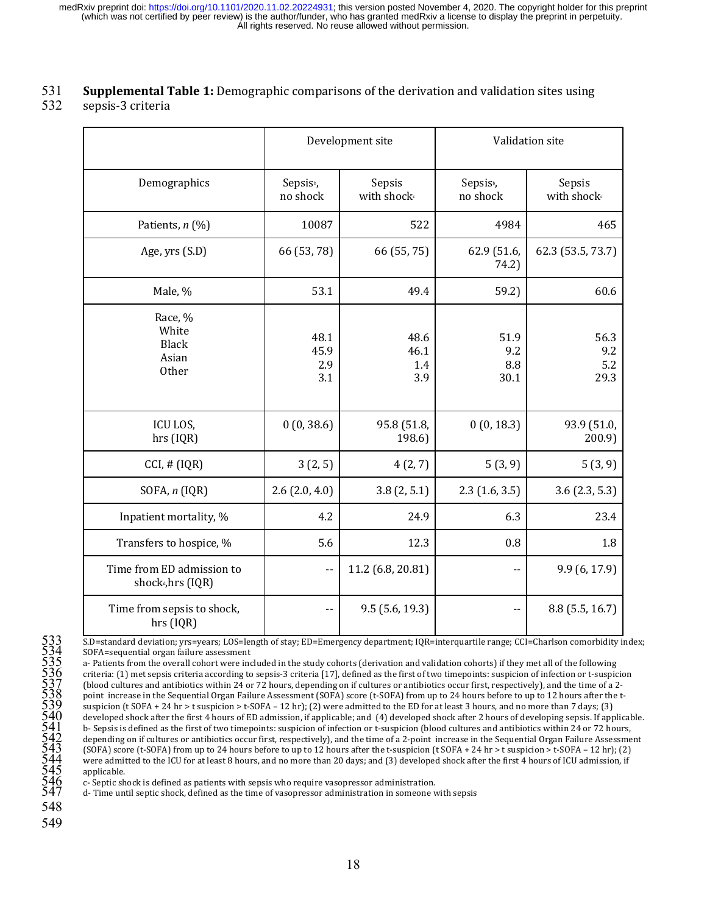#### **S31 Supplemental Table 1:** Demographic comparisons of the derivation and validation sites using

#### 532 sepsis-3 criteria

|                                                            | Development site                  |                                   |                                   | Validation site                   |
|------------------------------------------------------------|-----------------------------------|-----------------------------------|-----------------------------------|-----------------------------------|
| Demographics                                               | Sepsis <sup>b</sup> ,<br>no shock | Sepsis<br>with shock <sup>c</sup> | Sepsis <sub>b</sub> ,<br>no shock | Sepsis<br>with shock <sup>c</sup> |
| Patients, n (%)                                            | 10087                             | 522                               | 4984                              | 465                               |
| Age, yrs (S.D)                                             | 66 (53, 78)                       | 66 (55, 75)                       | 62.9 (51.6,<br>74.2)              | 62.3 (53.5, 73.7)                 |
| Male, %                                                    | 53.1                              | 49.4                              | 59.2)                             | 60.6                              |
| Race, %<br>White<br><b>Black</b><br>Asian<br>Other         | 48.1<br>45.9<br>2.9<br>3.1        | 48.6<br>46.1<br>1.4<br>3.9        | 51.9<br>9.2<br>8.8<br>30.1        | 56.3<br>9.2<br>5.2<br>29.3        |
| ICU LOS,<br>hrs (IQR)                                      | 0(0, 38.6)                        | 95.8 (51.8,<br>198.6)             | 0(0, 18.3)                        | 93.9 (51.0,<br>200.9              |
| CCI, # (IQR)                                               | 3(2, 5)                           | 4(2, 7)                           | 5(3, 9)                           | 5(3, 9)                           |
| SOFA, n (IQR)                                              | $2.6$ (2.0, 4.0)                  | 3.8(2, 5.1)                       | 2.3(1.6, 3.5)                     | 3.6(2.3, 5.3)                     |
| Inpatient mortality, %                                     | 4.2                               | 24.9                              | 6.3                               | 23.4                              |
| Transfers to hospice, %                                    | 5.6                               | 12.3                              | 0.8                               | 1.8                               |
| Time from ED admission to<br>shock <sup>d</sup> ,hrs (IQR) | $\overline{\phantom{a}}$          | 11.2 (6.8, 20.81)                 |                                   | 9.9 (6, 17.9)                     |
| Time from sepsis to shock,<br>hrs (IQR)                    |                                   | 9.5(5.6, 19.3)                    |                                   | 8.8 (5.5, 16.7)                   |

SOFA=sequential organ failure assessment

533 S.D=standard deviation; yrs=years; LOS=length of stay; ED=Emergency department; IQR=interquartile range; CCI=Charlson comorbidity index;<br>
5336 orA-sequential organ failure assessment<br>
6 DOFA-sequential organ failure a a- Patients from the overall cohort were included in the study cohorts (derivation and validation cohorts) if they met all of the following criteria: (1) met sepsis criteria according to sepsis-3 criteria [17], defined as the first of two timepoints: suspicion of infection or t-suspicion (blood cultures and antibiotics within 24 or 72 hours, depending on if cultures or antibiotics occur first, respectively), and the time of a 2point increase in the Sequential Organ Failure Assessment (SOFA) score (t-SOFA) from up to 24 hours before to up to 12 hours after the tsuspicion (t SOFA + 24 hr > t suspicion > t-SOFA – 12 hr); (2) were admitted to the ED for at least 3 hours, and no more than 7 days; (3) developed shock after the first 4 hours of ED admission, if applicable; and (4) developed shock after 2 hours of developing sepsis. If applicable. b- Sepsis is defined as the first of two timepoints: suspicion of infection or t-suspicion (blood cultures and antibiotics within 24 or 72 hours, depending on if cultures or antibiotics occur first, respectively), and the time of a 2-point increase in the Sequential Organ Failure Assessment (SOFA) score (t-SOFA) from up to 24 hours before to up to 12 hours after the t-suspicion (t SOFA + 24 hr > t suspicion > t-SOFA – 12 hr); (2) were admitted to the ICU for at least 8 hours, and no more than 20 days; and (3) developed shock after the first 4 hours of ICU admission, if applicable.

c- Septic shock is defined as patients with sepsis who require vasopressor administration.

d- Time until septic shock, defined as the time of vasopressor administration in someone with sepsis

- 548
- 549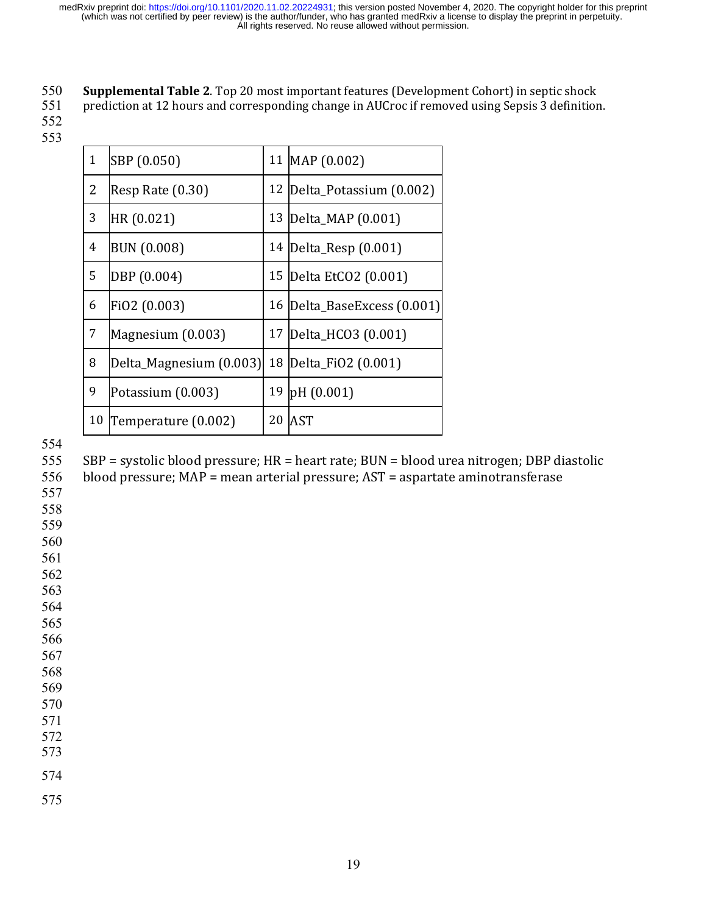# 550 **Supplemental Table 2**. Top 20 most important features (Development Cohort) in septic shock<br>551 prediction at 12 hours and corresponding change in AUCroc if removed using Sepsis 3 definition

prediction at 12 hours and corresponding change in AUCroc if removed using Sepsis 3 definition.

| $\mathbf{1}$   | SBP (0.050)             | 11 | MAP (0.002)              |
|----------------|-------------------------|----|--------------------------|
| 2              | Resp Rate (0.30)        | 12 | Delta_Potassium (0.002)  |
| 3              | HR (0.021)              | 13 | Delta_MAP (0.001)        |
| $\overline{4}$ | <b>BUN (0.008)</b>      | 14 | Delta_Resp (0.001)       |
| 5              | DBP (0.004)             | 15 | Delta EtCO2 (0.001)      |
| 6              | FiO2 (0.003)            | 16 | Delta_BaseExcess (0.001) |
| $\overline{7}$ | Magnesium (0.003)       | 17 | Delta_HCO3 (0.001)       |
| 8              | Delta_Magnesium (0.003) | 18 | Delta_FiO2 (0.001)       |
| 9              | Potassium (0.003)       | 19 | pH (0.001)               |
| 10             | Temperature (0.002)     | 20 | <b>AST</b>               |

SBP = systolic blood pressure; HR = heart rate; BUN = blood urea nitrogen; DBP diastolic

blood pressure; MAP = mean arterial pressure; AST = aspartate aminotransferase

 

 

- 
- 
- 
- 
- 
- 

- 
-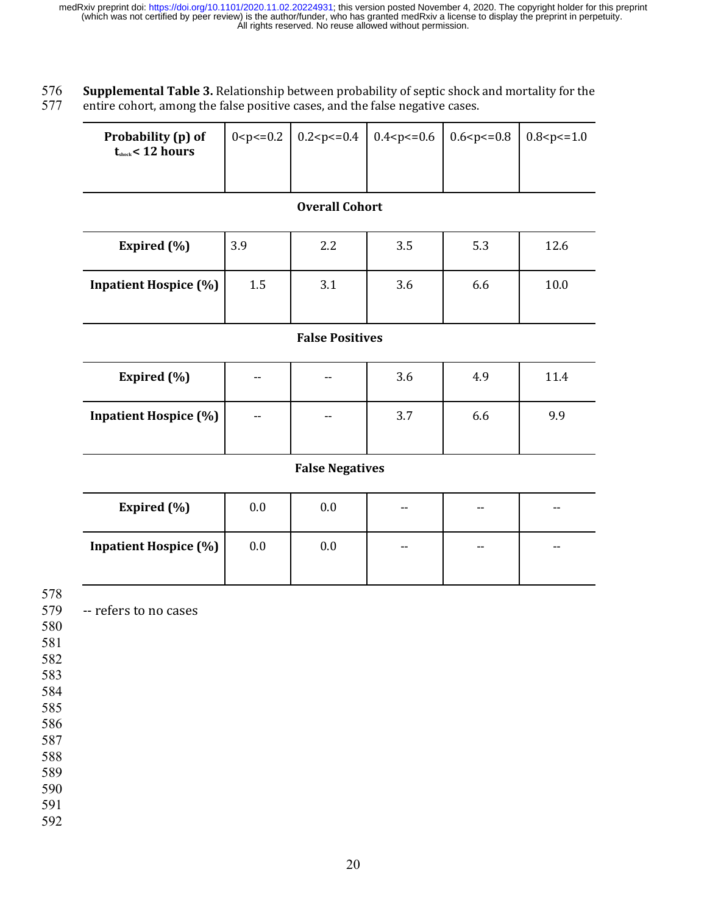576 **Supplemental Table 3.** Relationship between probability of septic shock and mortality for the entire cohort, among the false positive cases, and the false negative cases. entire cohort, among the false positive cases, and the false negative cases.

| Probability (p) of<br>$t_{\text{shock}}$ < 12 hours |  | $\vert$ 0 <p<=0.2 0.2<p<="0.4" 0.4<p<="0.6" 0.6<p<="0.8" 0.8<p<="1.0&lt;/th"  =""><th></th></p<=0.2> |  |
|-----------------------------------------------------|--|------------------------------------------------------------------------------------------------------|--|
|                                                     |  |                                                                                                      |  |

#### **Overall Cohort**

| Expired $(\% )$              | 3.9 | 2.2 | 3.5 | 5.3 | 12.6 |
|------------------------------|-----|-----|-----|-----|------|
| <b>Inpatient Hospice (%)</b> | 1.5 | 3.1 | 3.6 | 6.6 | 10.0 |

#### **False Positives**

| <b>Expired</b> (%)           | $- -$ | $\overline{\phantom{a}}$ | 3.6 | 4.9 | 11.4 |
|------------------------------|-------|--------------------------|-----|-----|------|
| <b>Inpatient Hospice (%)</b> | $- -$ | $- -$                    | 3.7 | 6.6 | 9.9  |

#### **False Negatives**

| Expired $(\% )$              | 0.0 | 0.0 | --    | $- -$ | $- -$ |
|------------------------------|-----|-----|-------|-------|-------|
| <b>Inpatient Hospice (%)</b> | 0.0 | 0.0 | $- -$ | $- -$ | $- -$ |

578

579 -- refers to no cases

- 580
- 581
- 582
- 583 584
- 585
- 586

587

588

589

590

591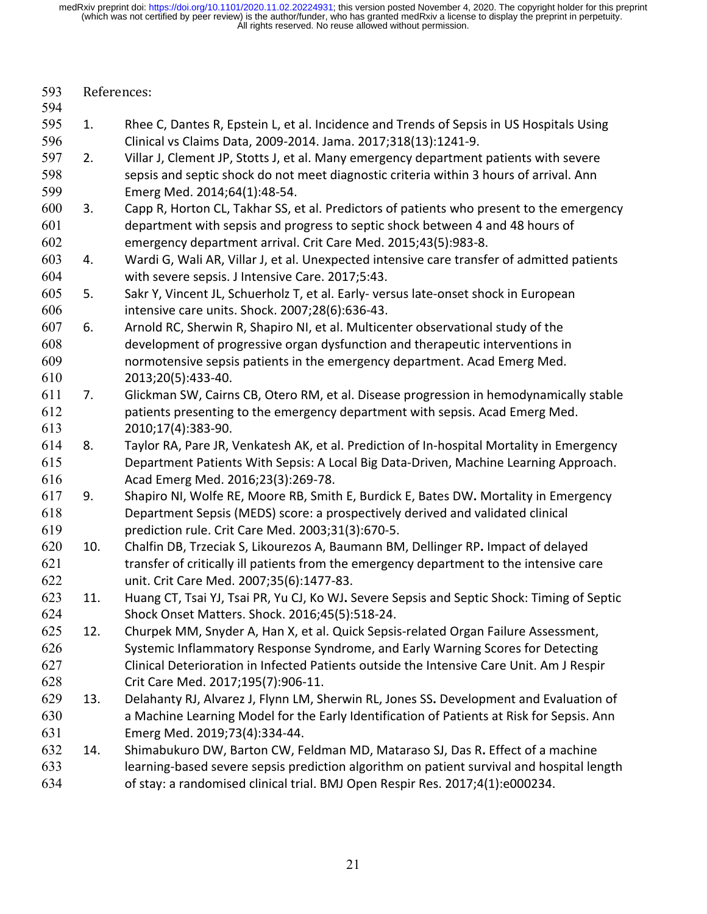| 593<br>594 | References: |                                                                                            |  |
|------------|-------------|--------------------------------------------------------------------------------------------|--|
| 595        | 1.          | Rhee C, Dantes R, Epstein L, et al. Incidence and Trends of Sepsis in US Hospitals Using   |  |
| 596        |             | Clinical vs Claims Data, 2009-2014. Jama. 2017;318(13):1241-9.                             |  |
| 597        | 2.          | Villar J, Clement JP, Stotts J, et al. Many emergency department patients with severe      |  |
| 598        |             |                                                                                            |  |
|            |             | sepsis and septic shock do not meet diagnostic criteria within 3 hours of arrival. Ann     |  |
| 599        |             | Emerg Med. 2014;64(1):48-54.                                                               |  |
| 600<br>601 | 3.          | Capp R, Horton CL, Takhar SS, et al. Predictors of patients who present to the emergency   |  |
| 602        |             | department with sepsis and progress to septic shock between 4 and 48 hours of              |  |
|            |             | emergency department arrival. Crit Care Med. 2015;43(5):983-8.                             |  |
| 603        | 4.          | Wardi G, Wali AR, Villar J, et al. Unexpected intensive care transfer of admitted patients |  |
| 604        |             | with severe sepsis. J Intensive Care. 2017;5:43.                                           |  |
| 605        | 5.          | Sakr Y, Vincent JL, Schuerholz T, et al. Early-versus late-onset shock in European         |  |
| 606        |             | intensive care units. Shock. 2007;28(6):636-43.                                            |  |
| 607        | 6.          | Arnold RC, Sherwin R, Shapiro NI, et al. Multicenter observational study of the            |  |
| 608        |             | development of progressive organ dysfunction and therapeutic interventions in              |  |
| 609        |             | normotensive sepsis patients in the emergency department. Acad Emerg Med.                  |  |
| 610        |             | 2013;20(5):433-40.                                                                         |  |
| 611        | 7.          | Glickman SW, Cairns CB, Otero RM, et al. Disease progression in hemodynamically stable     |  |
| 612        |             | patients presenting to the emergency department with sepsis. Acad Emerg Med.               |  |
| 613        |             | 2010;17(4):383-90.                                                                         |  |
| 614        | 8.          | Taylor RA, Pare JR, Venkatesh AK, et al. Prediction of In-hospital Mortality in Emergency  |  |
| 615        |             | Department Patients With Sepsis: A Local Big Data-Driven, Machine Learning Approach.       |  |
| 616        |             | Acad Emerg Med. 2016;23(3):269-78.                                                         |  |
| 617        | 9.          | Shapiro NI, Wolfe RE, Moore RB, Smith E, Burdick E, Bates DW. Mortality in Emergency       |  |
| 618        |             | Department Sepsis (MEDS) score: a prospectively derived and validated clinical             |  |
| 619        |             | prediction rule. Crit Care Med. 2003;31(3):670-5.                                          |  |
| 620        | 10.         | Chalfin DB, Trzeciak S, Likourezos A, Baumann BM, Dellinger RP. Impact of delayed          |  |
| 621        |             | transfer of critically ill patients from the emergency department to the intensive care    |  |
| 622        |             | unit. Crit Care Med. 2007;35(6):1477-83.                                                   |  |
| 623        | 11.         | Huang CT, Tsai YJ, Tsai PR, Yu CJ, Ko WJ. Severe Sepsis and Septic Shock: Timing of Septic |  |
| 624        |             | Shock Onset Matters. Shock. 2016;45(5):518-24.                                             |  |
| 625        | 12.         | Churpek MM, Snyder A, Han X, et al. Quick Sepsis-related Organ Failure Assessment,         |  |
| 626        |             | Systemic Inflammatory Response Syndrome, and Early Warning Scores for Detecting            |  |
| 627        |             | Clinical Deterioration in Infected Patients outside the Intensive Care Unit. Am J Respir   |  |
| 628        |             | Crit Care Med. 2017;195(7):906-11.                                                         |  |
| 629        | 13.         | Delahanty RJ, Alvarez J, Flynn LM, Sherwin RL, Jones SS. Development and Evaluation of     |  |
| 630        |             | a Machine Learning Model for the Early Identification of Patients at Risk for Sepsis. Ann  |  |
| 631        |             | Emerg Med. 2019;73(4):334-44.                                                              |  |
| 632        | 14.         | Shimabukuro DW, Barton CW, Feldman MD, Mataraso SJ, Das R. Effect of a machine             |  |
| 633        |             | learning-based severe sepsis prediction algorithm on patient survival and hospital length  |  |
| 634        |             | of stay: a randomised clinical trial. BMJ Open Respir Res. 2017;4(1):e000234.              |  |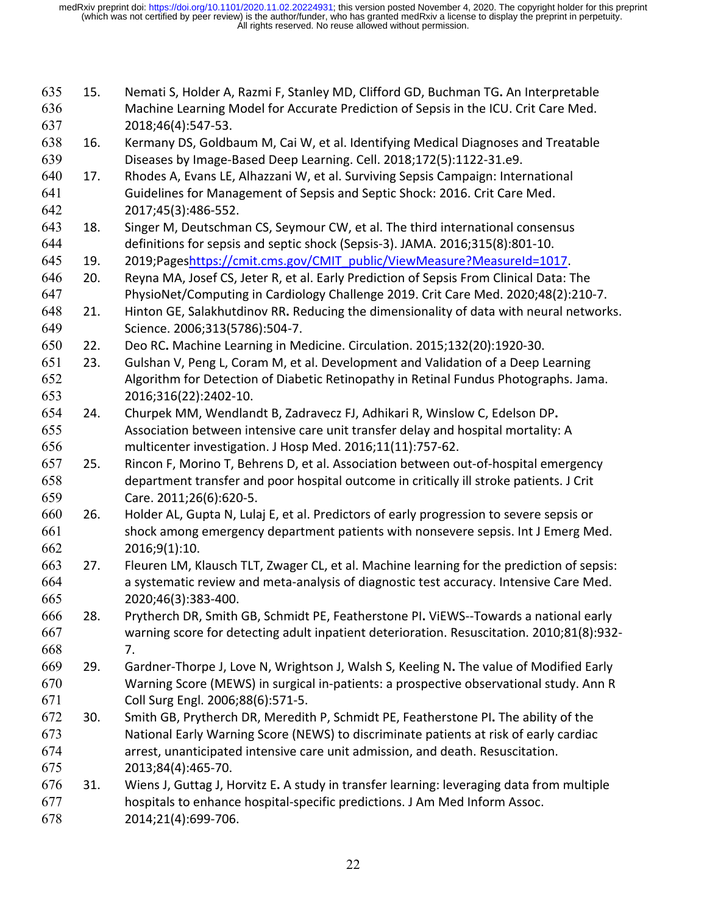| 635<br>636 | 15. | Nemati S, Holder A, Razmi F, Stanley MD, Clifford GD, Buchman TG. An Interpretable<br>Machine Learning Model for Accurate Prediction of Sepsis in the ICU. Crit Care Med. |
|------------|-----|---------------------------------------------------------------------------------------------------------------------------------------------------------------------------|
| 637        |     | 2018;46(4):547-53.                                                                                                                                                        |
| 638        | 16. | Kermany DS, Goldbaum M, Cai W, et al. Identifying Medical Diagnoses and Treatable                                                                                         |
| 639        |     | Diseases by Image-Based Deep Learning. Cell. 2018;172(5):1122-31.e9.                                                                                                      |
| 640        | 17. | Rhodes A, Evans LE, Alhazzani W, et al. Surviving Sepsis Campaign: International                                                                                          |
| 641        |     | Guidelines for Management of Sepsis and Septic Shock: 2016. Crit Care Med.                                                                                                |
| 642        |     | 2017;45(3):486-552.                                                                                                                                                       |
| 643        | 18. | Singer M, Deutschman CS, Seymour CW, et al. The third international consensus                                                                                             |
| 644        |     | definitions for sepsis and septic shock (Sepsis-3). JAMA. 2016;315(8):801-10.                                                                                             |
| 645        | 19. | 2019;Pageshttps://cmit.cms.gov/CMIT_public/ViewMeasure?MeasureId=1017.                                                                                                    |
| 646        | 20. | Reyna MA, Josef CS, Jeter R, et al. Early Prediction of Sepsis From Clinical Data: The                                                                                    |
| 647        |     | PhysioNet/Computing in Cardiology Challenge 2019. Crit Care Med. 2020;48(2):210-7.                                                                                        |
| 648        | 21. | Hinton GE, Salakhutdinov RR. Reducing the dimensionality of data with neural networks.                                                                                    |
| 649        |     | Science. 2006;313(5786):504-7.                                                                                                                                            |
| 650        | 22. | Deo RC. Machine Learning in Medicine. Circulation. 2015;132(20):1920-30.                                                                                                  |
| 651        | 23. | Gulshan V, Peng L, Coram M, et al. Development and Validation of a Deep Learning                                                                                          |
| 652        |     | Algorithm for Detection of Diabetic Retinopathy in Retinal Fundus Photographs. Jama.                                                                                      |
| 653        |     | 2016;316(22):2402-10.                                                                                                                                                     |
| 654        | 24. | Churpek MM, Wendlandt B, Zadravecz FJ, Adhikari R, Winslow C, Edelson DP.                                                                                                 |
| 655        |     | Association between intensive care unit transfer delay and hospital mortality: A                                                                                          |
| 656        |     | multicenter investigation. J Hosp Med. 2016;11(11):757-62.                                                                                                                |
| 657        | 25. | Rincon F, Morino T, Behrens D, et al. Association between out-of-hospital emergency                                                                                       |
| 658        |     | department transfer and poor hospital outcome in critically ill stroke patients. J Crit                                                                                   |
| 659        |     | Care. 2011;26(6):620-5.                                                                                                                                                   |
| 660        | 26. | Holder AL, Gupta N, Lulaj E, et al. Predictors of early progression to severe sepsis or                                                                                   |
| 661        |     | shock among emergency department patients with nonsevere sepsis. Int J Emerg Med.                                                                                         |
| 662        |     | 2016;9(1):10.                                                                                                                                                             |
| 663        | 27. | Fleuren LM, Klausch TLT, Zwager CL, et al. Machine learning for the prediction of sepsis:                                                                                 |
| 664        |     | a systematic review and meta-analysis of diagnostic test accuracy. Intensive Care Med.                                                                                    |
| 665        |     | 2020;46(3):383-400.                                                                                                                                                       |
| 666        | 28. | Prytherch DR, Smith GB, Schmidt PE, Featherstone PI. ViEWS--Towards a national early                                                                                      |
| 667        |     | warning score for detecting adult inpatient deterioration. Resuscitation. 2010;81(8):932-                                                                                 |
| 668        |     | 7.                                                                                                                                                                        |
| 669        | 29. | Gardner-Thorpe J, Love N, Wrightson J, Walsh S, Keeling N. The value of Modified Early                                                                                    |
| 670        |     | Warning Score (MEWS) in surgical in-patients: a prospective observational study. Ann R                                                                                    |
| 671        |     | Coll Surg Engl. 2006;88(6):571-5.                                                                                                                                         |
| 672        | 30. | Smith GB, Prytherch DR, Meredith P, Schmidt PE, Featherstone PI. The ability of the                                                                                       |
| 673        |     | National Early Warning Score (NEWS) to discriminate patients at risk of early cardiac                                                                                     |
| 674        |     | arrest, unanticipated intensive care unit admission, and death. Resuscitation.                                                                                            |
| 675        |     | 2013;84(4):465-70.                                                                                                                                                        |
| 676        | 31. | Wiens J, Guttag J, Horvitz E. A study in transfer learning: leveraging data from multiple                                                                                 |
| 677        |     | hospitals to enhance hospital-specific predictions. J Am Med Inform Assoc.                                                                                                |
| 678        |     | 2014;21(4):699-706.                                                                                                                                                       |